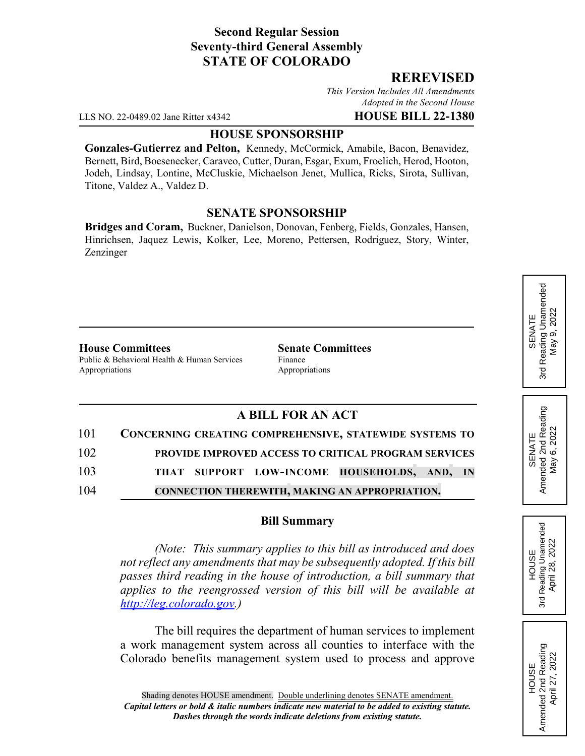## **Second Regular Session Seventy-third General Assembly STATE OF COLORADO**

## **REREVISED**

*This Version Includes All Amendments Adopted in the Second House*

LLS NO. 22-0489.02 Jane Ritter x4342 **HOUSE BILL 22-1380**

### **HOUSE SPONSORSHIP**

**Gonzales-Gutierrez and Pelton,** Kennedy, McCormick, Amabile, Bacon, Benavidez, Bernett, Bird, Boesenecker, Caraveo, Cutter, Duran, Esgar, Exum, Froelich, Herod, Hooton, Jodeh, Lindsay, Lontine, McCluskie, Michaelson Jenet, Mullica, Ricks, Sirota, Sullivan, Titone, Valdez A., Valdez D.

## **SENATE SPONSORSHIP**

**Bridges and Coram,** Buckner, Danielson, Donovan, Fenberg, Fields, Gonzales, Hansen, Hinrichsen, Jaquez Lewis, Kolker, Lee, Moreno, Pettersen, Rodriguez, Story, Winter, Zenzinger

#### **House Committees Senate Committees**

Public & Behavioral Health & Human Services Finance Appropriations Appropriations

# **A BILL FOR AN ACT**

| 101 | CONCERNING CREATING COMPREHENSIVE, STATEWIDE SYSTEMS TO |
|-----|---------------------------------------------------------|
| 102 | PROVIDE IMPROVED ACCESS TO CRITICAL PROGRAM SERVICES    |
| 103 | THAT SUPPORT LOW-INCOME HOUSEHOLDS, AND, IN             |
| 104 | <b>CONNECTION THEREWITH, MAKING AN APPROPRIATION.</b>   |

#### **Bill Summary**

*(Note: This summary applies to this bill as introduced and does not reflect any amendments that may be subsequently adopted. If this bill passes third reading in the house of introduction, a bill summary that applies to the reengrossed version of this bill will be available at http://leg.colorado.gov.)*

The bill requires the department of human services to implement a work management system across all counties to interface with the Colorado benefits management system used to process and approve SENATE<br>Reading Unamended 3rd Reading Unamended  $9,2022$ May 9, 2022 Nay ! 3rd

SENATE<br>Amended 2nd Reading<br>May 6, 2022 Amended 2nd Reading May 6, 2022

**HOUSE** 3rd Reading Unamended April 28, 2022

Reading Unamended April 28, 2022

3rd

HOUSE<br>Amended 2nd Reading Amended 2nd Reading April 27, 2022

April 27, 2022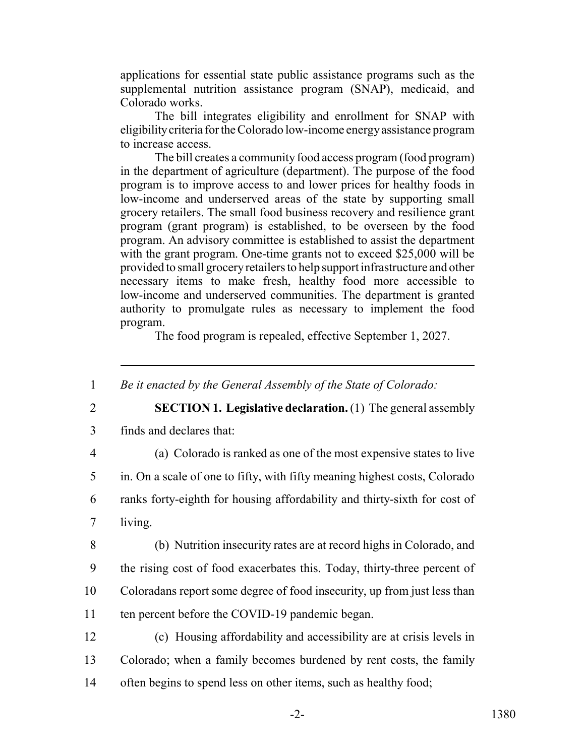applications for essential state public assistance programs such as the supplemental nutrition assistance program (SNAP), medicaid, and Colorado works.

The bill integrates eligibility and enrollment for SNAP with eligibility criteria for the Colorado low-income energy assistance program to increase access.

The bill creates a community food access program (food program) in the department of agriculture (department). The purpose of the food program is to improve access to and lower prices for healthy foods in low-income and underserved areas of the state by supporting small grocery retailers. The small food business recovery and resilience grant program (grant program) is established, to be overseen by the food program. An advisory committee is established to assist the department with the grant program. One-time grants not to exceed \$25,000 will be provided to small grocery retailers to help support infrastructure and other necessary items to make fresh, healthy food more accessible to low-income and underserved communities. The department is granted authority to promulgate rules as necessary to implement the food program.

The food program is repealed, effective September 1, 2027.

1 *Be it enacted by the General Assembly of the State of Colorado:*

2 **SECTION 1. Legislative declaration.** (1) The general assembly

- 3 finds and declares that:
- 

4 (a) Colorado is ranked as one of the most expensive states to live

5 in. On a scale of one to fifty, with fifty meaning highest costs, Colorado

6 ranks forty-eighth for housing affordability and thirty-sixth for cost of 7 living.

8 (b) Nutrition insecurity rates are at record highs in Colorado, and 9 the rising cost of food exacerbates this. Today, thirty-three percent of 10 Coloradans report some degree of food insecurity, up from just less than

11 ten percent before the COVID-19 pandemic began.

12 (c) Housing affordability and accessibility are at crisis levels in 13 Colorado; when a family becomes burdened by rent costs, the family 14 often begins to spend less on other items, such as healthy food;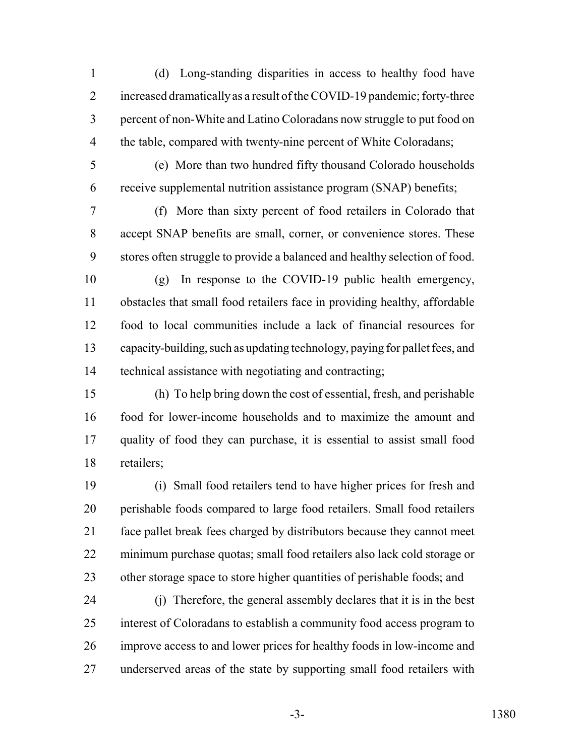(d) Long-standing disparities in access to healthy food have 2 increased dramatically as a result of the COVID-19 pandemic; forty-three percent of non-White and Latino Coloradans now struggle to put food on 4 the table, compared with twenty-nine percent of White Coloradans;

 (e) More than two hundred fifty thousand Colorado households receive supplemental nutrition assistance program (SNAP) benefits;

 (f) More than sixty percent of food retailers in Colorado that accept SNAP benefits are small, corner, or convenience stores. These stores often struggle to provide a balanced and healthy selection of food.

 (g) In response to the COVID-19 public health emergency, obstacles that small food retailers face in providing healthy, affordable food to local communities include a lack of financial resources for capacity-building, such as updating technology, paying for pallet fees, and technical assistance with negotiating and contracting;

 (h) To help bring down the cost of essential, fresh, and perishable food for lower-income households and to maximize the amount and quality of food they can purchase, it is essential to assist small food retailers;

 (i) Small food retailers tend to have higher prices for fresh and perishable foods compared to large food retailers. Small food retailers face pallet break fees charged by distributors because they cannot meet minimum purchase quotas; small food retailers also lack cold storage or 23 other storage space to store higher quantities of perishable foods; and

 (j) Therefore, the general assembly declares that it is in the best interest of Coloradans to establish a community food access program to improve access to and lower prices for healthy foods in low-income and underserved areas of the state by supporting small food retailers with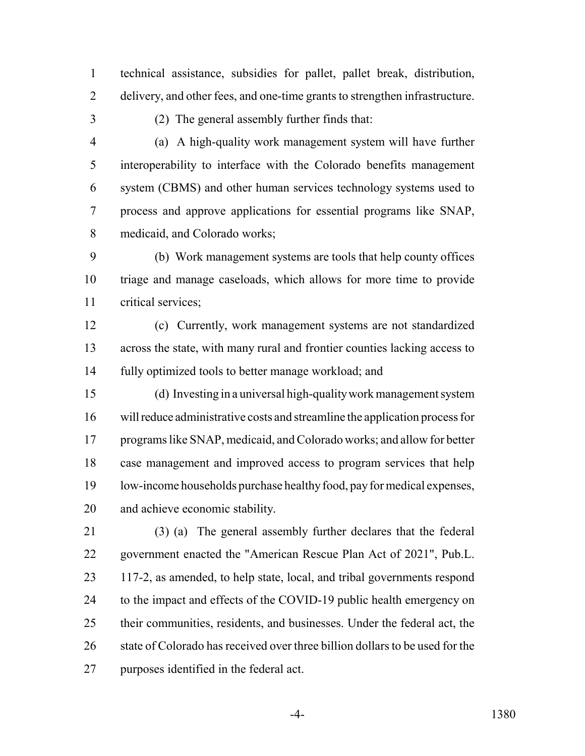technical assistance, subsidies for pallet, pallet break, distribution, delivery, and other fees, and one-time grants to strengthen infrastructure.

(2) The general assembly further finds that:

 (a) A high-quality work management system will have further interoperability to interface with the Colorado benefits management system (CBMS) and other human services technology systems used to process and approve applications for essential programs like SNAP, medicaid, and Colorado works;

 (b) Work management systems are tools that help county offices triage and manage caseloads, which allows for more time to provide critical services;

 (c) Currently, work management systems are not standardized across the state, with many rural and frontier counties lacking access to fully optimized tools to better manage workload; and

 (d) Investing in a universal high-quality work management system will reduce administrative costs and streamline the application process for programs like SNAP, medicaid, and Colorado works; and allow for better case management and improved access to program services that help low-income households purchase healthy food, pay for medical expenses, and achieve economic stability.

 (3) (a) The general assembly further declares that the federal government enacted the "American Rescue Plan Act of 2021", Pub.L. 117-2, as amended, to help state, local, and tribal governments respond 24 to the impact and effects of the COVID-19 public health emergency on their communities, residents, and businesses. Under the federal act, the 26 state of Colorado has received over three billion dollars to be used for the purposes identified in the federal act.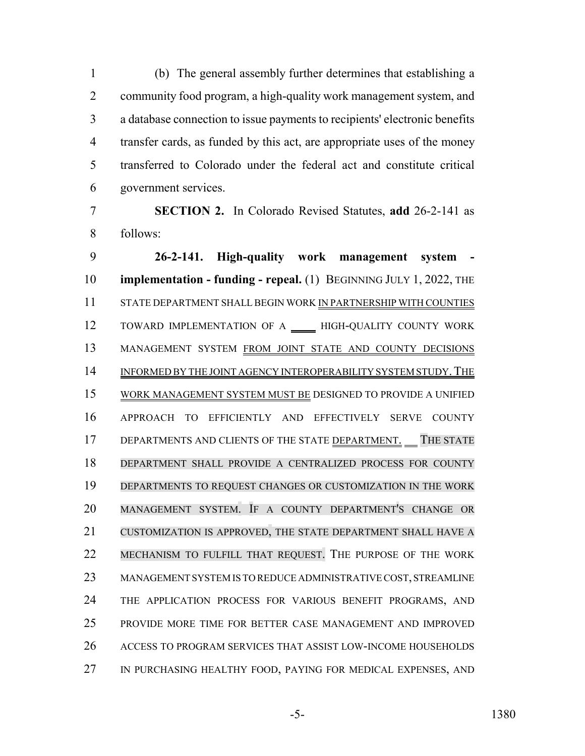(b) The general assembly further determines that establishing a community food program, a high-quality work management system, and a database connection to issue payments to recipients' electronic benefits transfer cards, as funded by this act, are appropriate uses of the money transferred to Colorado under the federal act and constitute critical government services.

 **SECTION 2.** In Colorado Revised Statutes, **add** 26-2-141 as follows:

 **26-2-141. High-quality work management system - implementation - funding - repeal.** (1) BEGINNING JULY 1, 2022, THE STATE DEPARTMENT SHALL BEGIN WORK IN PARTNERSHIP WITH COUNTIES 12 TOWARD IMPLEMENTATION OF A \_\_\_\_ HIGH-QUALITY COUNTY WORK MANAGEMENT SYSTEM FROM JOINT STATE AND COUNTY DECISIONS 14 INFORMED BY THE JOINT AGENCY INTEROPERABILITY SYSTEM STUDY. THE WORK MANAGEMENT SYSTEM MUST BE DESIGNED TO PROVIDE A UNIFIED APPROACH TO EFFICIENTLY AND EFFECTIVELY SERVE COUNTY 17 DEPARTMENTS AND CLIENTS OF THE STATE DEPARTMENT. THE STATE DEPARTMENT SHALL PROVIDE A CENTRALIZED PROCESS FOR COUNTY DEPARTMENTS TO REQUEST CHANGES OR CUSTOMIZATION IN THE WORK MANAGEMENT SYSTEM. IF A COUNTY DEPARTMENT'S CHANGE OR CUSTOMIZATION IS APPROVED, THE STATE DEPARTMENT SHALL HAVE A MECHANISM TO FULFILL THAT REQUEST. THE PURPOSE OF THE WORK MANAGEMENT SYSTEM IS TO REDUCE ADMINISTRATIVE COST, STREAMLINE THE APPLICATION PROCESS FOR VARIOUS BENEFIT PROGRAMS, AND PROVIDE MORE TIME FOR BETTER CASE MANAGEMENT AND IMPROVED ACCESS TO PROGRAM SERVICES THAT ASSIST LOW-INCOME HOUSEHOLDS IN PURCHASING HEALTHY FOOD, PAYING FOR MEDICAL EXPENSES, AND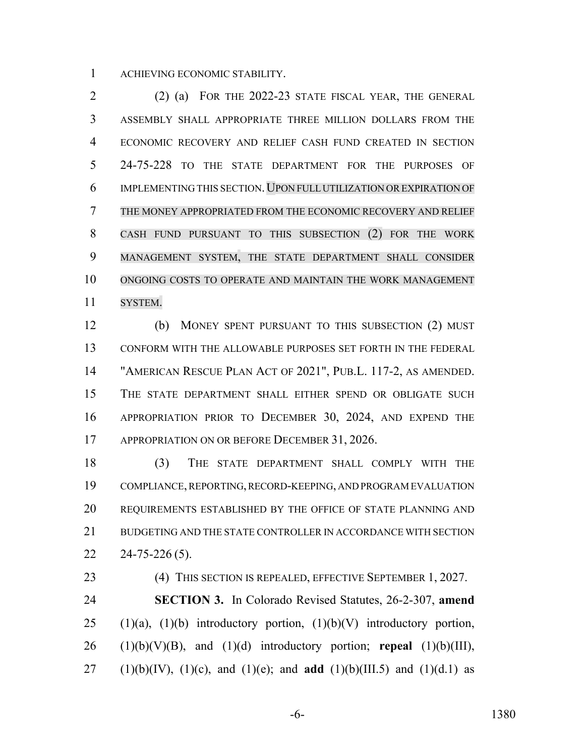ACHIEVING ECONOMIC STABILITY.

 (2) (a) FOR THE 2022-23 STATE FISCAL YEAR, THE GENERAL ASSEMBLY SHALL APPROPRIATE THREE MILLION DOLLARS FROM THE ECONOMIC RECOVERY AND RELIEF CASH FUND CREATED IN SECTION 24-75-228 TO THE STATE DEPARTMENT FOR THE PURPOSES OF IMPLEMENTING THIS SECTION.UPON FULL UTILIZATION OREXPIRATION OF THE MONEY APPROPRIATED FROM THE ECONOMIC RECOVERY AND RELIEF CASH FUND PURSUANT TO THIS SUBSECTION (2) FOR THE WORK MANAGEMENT SYSTEM, THE STATE DEPARTMENT SHALL CONSIDER ONGOING COSTS TO OPERATE AND MAINTAIN THE WORK MANAGEMENT SYSTEM.

 (b) MONEY SPENT PURSUANT TO THIS SUBSECTION (2) MUST CONFORM WITH THE ALLOWABLE PURPOSES SET FORTH IN THE FEDERAL "AMERICAN RESCUE PLAN ACT OF 2021", PUB.L. 117-2, AS AMENDED. THE STATE DEPARTMENT SHALL EITHER SPEND OR OBLIGATE SUCH APPROPRIATION PRIOR TO DECEMBER 30, 2024, AND EXPEND THE 17 APPROPRIATION ON OR BEFORE DECEMBER 31, 2026.

 (3) THE STATE DEPARTMENT SHALL COMPLY WITH THE COMPLIANCE, REPORTING, RECORD-KEEPING, AND PROGRAM EVALUATION REQUIREMENTS ESTABLISHED BY THE OFFICE OF STATE PLANNING AND 21 BUDGETING AND THE STATE CONTROLLER IN ACCORDANCE WITH SECTION  $22 \quad 24 - 75 - 226 \, (5)$ .

 (4) THIS SECTION IS REPEALED, EFFECTIVE SEPTEMBER 1, 2027. **SECTION 3.** In Colorado Revised Statutes, 26-2-307, **amend** 25 (1)(a), (1)(b) introductory portion, (1)(b)(V) introductory portion, (1)(b)(V)(B), and (1)(d) introductory portion; **repeal** (1)(b)(III), 27 (1)(b)(IV), (1)(c), and (1)(e); and **add** (1)(b)(III.5) and (1)(d.1) as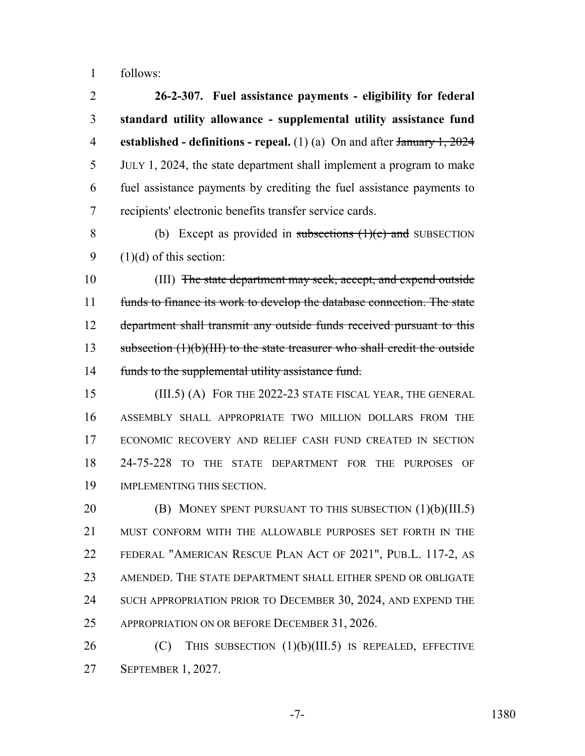follows:

 **26-2-307. Fuel assistance payments - eligibility for federal standard utility allowance - supplemental utility assistance fund established - definitions - repeal.** (1) (a) On and after January 1, 2024 JULY 1, 2024, the state department shall implement a program to make fuel assistance payments by crediting the fuel assistance payments to recipients' electronic benefits transfer service cards.

8 (b) Except as provided in subsections (1)(c) and SUBSECTION 9  $(1)(d)$  of this section:

10 (III) The state department may seek, accept, and expend outside funds to finance its work to develop the database connection. The state 12 department shall transmit any outside funds received pursuant to this 13 subsection (1)(b)(III) to the state treasurer who shall credit the outside 14 funds to the supplemental utility assistance fund.

 (III.5) (A) FOR THE 2022-23 STATE FISCAL YEAR, THE GENERAL ASSEMBLY SHALL APPROPRIATE TWO MILLION DOLLARS FROM THE ECONOMIC RECOVERY AND RELIEF CASH FUND CREATED IN SECTION 24-75-228 TO THE STATE DEPARTMENT FOR THE PURPOSES OF IMPLEMENTING THIS SECTION.

**(B) MONEY SPENT PURSUANT TO THIS SUBSECTION (1)(b)(III.5)**  MUST CONFORM WITH THE ALLOWABLE PURPOSES SET FORTH IN THE FEDERAL "AMERICAN RESCUE PLAN ACT OF 2021", PUB.L. 117-2, AS AMENDED. THE STATE DEPARTMENT SHALL EITHER SPEND OR OBLIGATE 24 SUCH APPROPRIATION PRIOR TO DECEMBER 30, 2024, AND EXPEND THE 25 APPROPRIATION ON OR BEFORE DECEMBER 31, 2026.

26 (C) THIS SUBSECTION (1)(b)(III.5) IS REPEALED, EFFECTIVE SEPTEMBER 1, 2027.

-7- 1380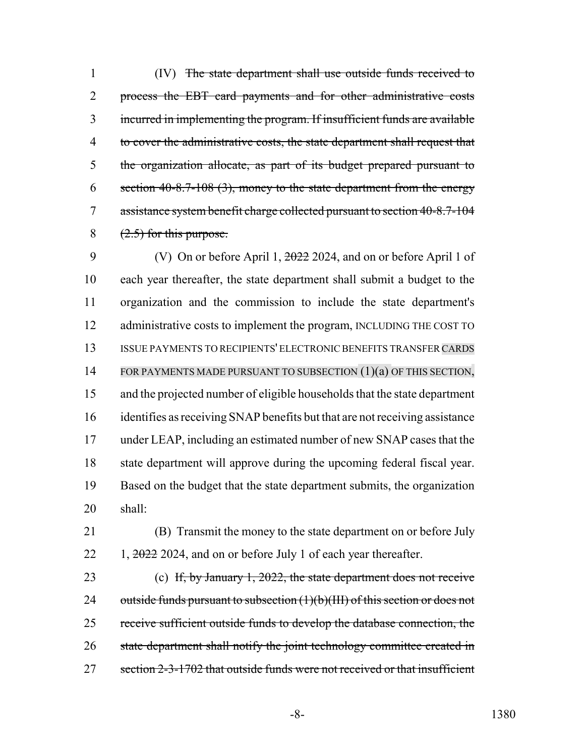(IV) The state department shall use outside funds received to process the EBT card payments and for other administrative costs incurred in implementing the program. If insufficient funds are available 4 to cover the administrative costs, the state department shall request that the organization allocate, as part of its budget prepared pursuant to 6 section  $40-8.7-108$  (3), money to the state department from the energy 7 assistance system benefit charge collected pursuant to section 40-8.7-104  $(2.5)$  for this purpose.

9 (V) On or before April 1, 2022 2024, and on or before April 1 of each year thereafter, the state department shall submit a budget to the organization and the commission to include the state department's 12 administrative costs to implement the program, INCLUDING THE COST TO ISSUE PAYMENTS TO RECIPIENTS' ELECTRONIC BENEFITS TRANSFER CARDS 14 FOR PAYMENTS MADE PURSUANT TO SUBSECTION (1)(a) OF THIS SECTION, and the projected number of eligible households that the state department identifies as receiving SNAP benefits but that are not receiving assistance under LEAP, including an estimated number of new SNAP cases that the state department will approve during the upcoming federal fiscal year. Based on the budget that the state department submits, the organization 20 shall:

21 (B) Transmit the money to the state department on or before July  $22 \quad 1, \frac{2022}{2024}$ , and on or before July 1 of each year thereafter.

23 (c) If, by January 1, 2022, the state department does not receive 24 outside funds pursuant to subsection  $(1)(b)(III)$  of this section or does not 25 receive sufficient outside funds to develop the database connection, the 26 state department shall notify the joint technology committee created in 27 section 2-3-1702 that outside funds were not received or that insufficient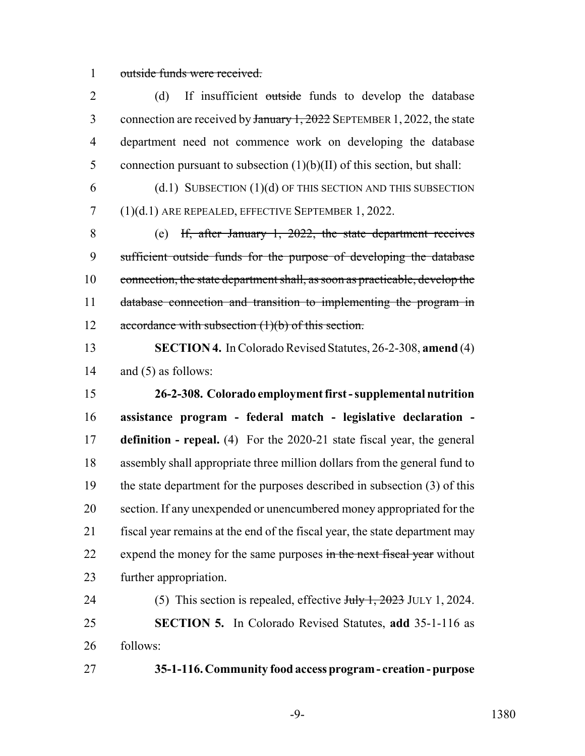outside funds were received.

2 (d) If insufficient outside funds to develop the database 3 connection are received by January 1, 2022 SEPTEMBER 1, 2022, the state department need not commence work on developing the database 5 connection pursuant to subsection  $(1)(b)(II)$  of this section, but shall:

 (d.1) SUBSECTION (1)(d) OF THIS SECTION AND THIS SUBSECTION (1)(d.1) ARE REPEALED, EFFECTIVE SEPTEMBER 1, 2022.

 (e) If, after January 1, 2022, the state department receives sufficient outside funds for the purpose of developing the database connection, the state department shall, as soon as practicable, develop the database connection and transition to implementing the program in 12 accordance with subsection (1)(b) of this section.

 **SECTION 4.** In Colorado Revised Statutes, 26-2-308, **amend** (4) and (5) as follows:

 **26-2-308. Colorado employment first - supplemental nutrition assistance program - federal match - legislative declaration - definition - repeal.** (4) For the 2020-21 state fiscal year, the general assembly shall appropriate three million dollars from the general fund to the state department for the purposes described in subsection (3) of this section. If any unexpended or unencumbered money appropriated for the fiscal year remains at the end of the fiscal year, the state department may 22 expend the money for the same purposes in the next fiscal year without further appropriation.

24 (5) This section is repealed, effective July 1, 2023 JULY 1, 2024. **SECTION 5.** In Colorado Revised Statutes, **add** 35-1-116 as follows:

**35-1-116. Community food access program - creation - purpose**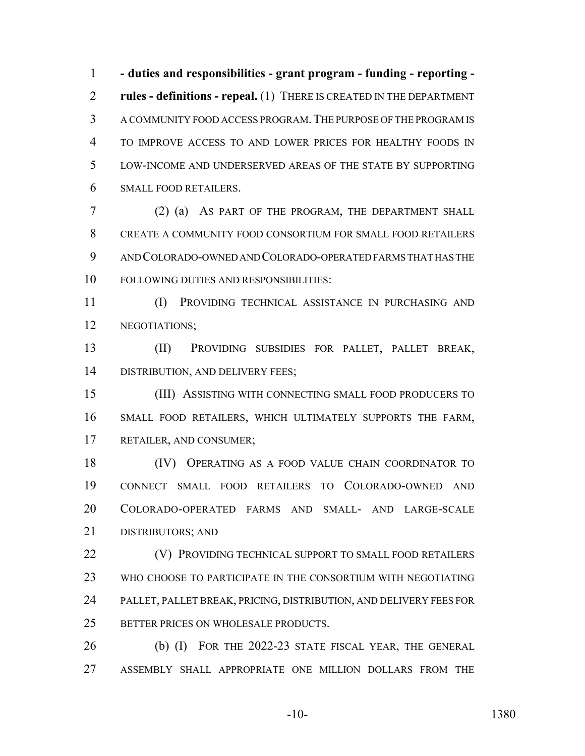**- duties and responsibilities - grant program - funding - reporting - rules - definitions - repeal.** (1) THERE IS CREATED IN THE DEPARTMENT A COMMUNITY FOOD ACCESS PROGRAM.THE PURPOSE OF THE PROGRAM IS TO IMPROVE ACCESS TO AND LOWER PRICES FOR HEALTHY FOODS IN LOW-INCOME AND UNDERSERVED AREAS OF THE STATE BY SUPPORTING SMALL FOOD RETAILERS.

 (2) (a) AS PART OF THE PROGRAM, THE DEPARTMENT SHALL CREATE A COMMUNITY FOOD CONSORTIUM FOR SMALL FOOD RETAILERS AND COLORADO-OWNED AND COLORADO-OPERATED FARMS THAT HAS THE FOLLOWING DUTIES AND RESPONSIBILITIES:

 (I) PROVIDING TECHNICAL ASSISTANCE IN PURCHASING AND NEGOTIATIONS;

 (II) PROVIDING SUBSIDIES FOR PALLET, PALLET BREAK, DISTRIBUTION, AND DELIVERY FEES;

 (III) ASSISTING WITH CONNECTING SMALL FOOD PRODUCERS TO SMALL FOOD RETAILERS, WHICH ULTIMATELY SUPPORTS THE FARM, RETAILER, AND CONSUMER;

 (IV) OPERATING AS A FOOD VALUE CHAIN COORDINATOR TO CONNECT SMALL FOOD RETAILERS TO COLORADO-OWNED AND COLORADO-OPERATED FARMS AND SMALL- AND LARGE-SCALE DISTRIBUTORS; AND

**(V) PROVIDING TECHNICAL SUPPORT TO SMALL FOOD RETAILERS**  WHO CHOOSE TO PARTICIPATE IN THE CONSORTIUM WITH NEGOTIATING PALLET, PALLET BREAK, PRICING, DISTRIBUTION, AND DELIVERY FEES FOR 25 BETTER PRICES ON WHOLESALE PRODUCTS.

 (b) (I) FOR THE 2022-23 STATE FISCAL YEAR, THE GENERAL ASSEMBLY SHALL APPROPRIATE ONE MILLION DOLLARS FROM THE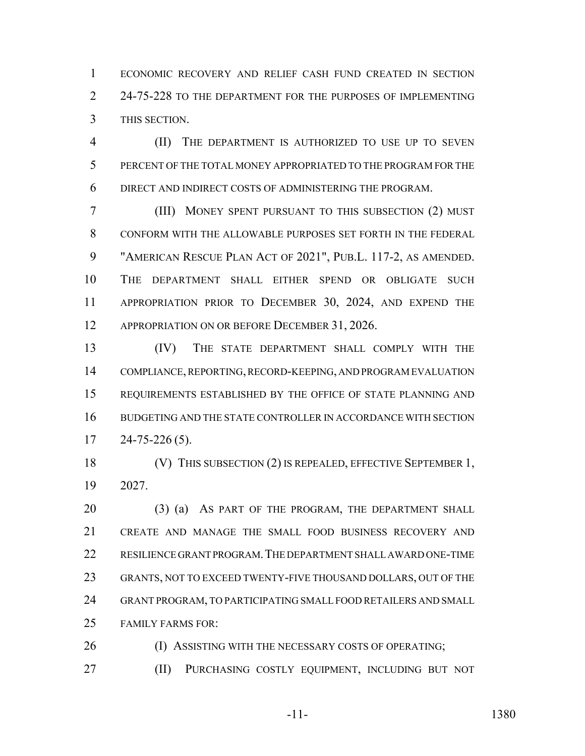ECONOMIC RECOVERY AND RELIEF CASH FUND CREATED IN SECTION 2 24-75-228 TO THE DEPARTMENT FOR THE PURPOSES OF IMPLEMENTING THIS SECTION.

 (II) THE DEPARTMENT IS AUTHORIZED TO USE UP TO SEVEN PERCENT OF THE TOTAL MONEY APPROPRIATED TO THE PROGRAM FOR THE DIRECT AND INDIRECT COSTS OF ADMINISTERING THE PROGRAM.

 (III) MONEY SPENT PURSUANT TO THIS SUBSECTION (2) MUST CONFORM WITH THE ALLOWABLE PURPOSES SET FORTH IN THE FEDERAL "AMERICAN RESCUE PLAN ACT OF 2021", PUB.L. 117-2, AS AMENDED. THE DEPARTMENT SHALL EITHER SPEND OR OBLIGATE SUCH APPROPRIATION PRIOR TO DECEMBER 30, 2024, AND EXPEND THE 12 APPROPRIATION ON OR BEFORE DECEMBER 31, 2026.

 (IV) THE STATE DEPARTMENT SHALL COMPLY WITH THE COMPLIANCE, REPORTING, RECORD-KEEPING, AND PROGRAM EVALUATION REQUIREMENTS ESTABLISHED BY THE OFFICE OF STATE PLANNING AND BUDGETING AND THE STATE CONTROLLER IN ACCORDANCE WITH SECTION  $17 \quad 24 - 75 - 226 \, (5).$ 

 (V) THIS SUBSECTION (2) IS REPEALED, EFFECTIVE SEPTEMBER 1, 2027.

20 (3) (a) AS PART OF THE PROGRAM, THE DEPARTMENT SHALL CREATE AND MANAGE THE SMALL FOOD BUSINESS RECOVERY AND RESILIENCE GRANT PROGRAM.THE DEPARTMENT SHALL AWARD ONE-TIME GRANTS, NOT TO EXCEED TWENTY-FIVE THOUSAND DOLLARS, OUT OF THE GRANT PROGRAM, TO PARTICIPATING SMALL FOOD RETAILERS AND SMALL FAMILY FARMS FOR:

26 (I) ASSISTING WITH THE NECESSARY COSTS OF OPERATING;

(II) PURCHASING COSTLY EQUIPMENT, INCLUDING BUT NOT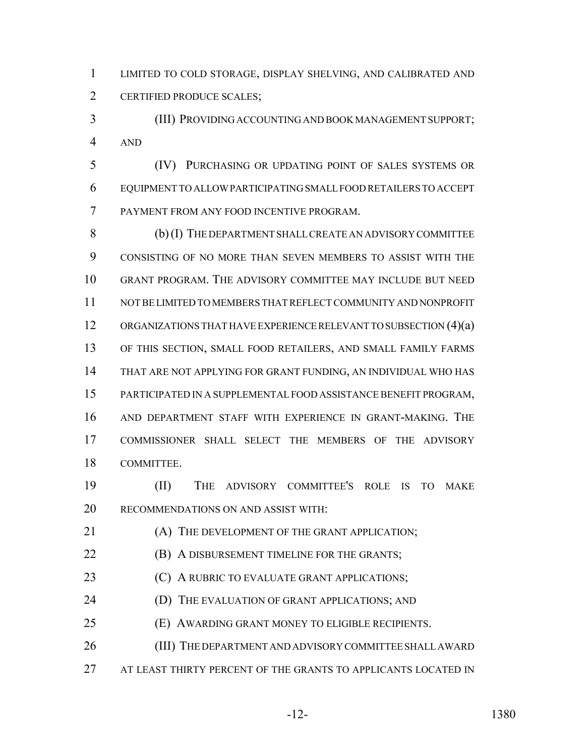LIMITED TO COLD STORAGE, DISPLAY SHELVING, AND CALIBRATED AND CERTIFIED PRODUCE SCALES;

 (III) PROVIDING ACCOUNTING AND BOOK MANAGEMENT SUPPORT; AND

 (IV) PURCHASING OR UPDATING POINT OF SALES SYSTEMS OR EQUIPMENT TO ALLOW PARTICIPATING SMALL FOOD RETAILERS TO ACCEPT PAYMENT FROM ANY FOOD INCENTIVE PROGRAM.

 (b) (I) THE DEPARTMENT SHALL CREATE AN ADVISORY COMMITTEE CONSISTING OF NO MORE THAN SEVEN MEMBERS TO ASSIST WITH THE GRANT PROGRAM. THE ADVISORY COMMITTEE MAY INCLUDE BUT NEED NOT BE LIMITED TO MEMBERS THAT REFLECT COMMUNITY AND NONPROFIT ORGANIZATIONS THAT HAVE EXPERIENCE RELEVANT TO SUBSECTION (4)(a) OF THIS SECTION, SMALL FOOD RETAILERS, AND SMALL FAMILY FARMS THAT ARE NOT APPLYING FOR GRANT FUNDING, AN INDIVIDUAL WHO HAS PARTICIPATED IN A SUPPLEMENTAL FOOD ASSISTANCE BENEFIT PROGRAM, AND DEPARTMENT STAFF WITH EXPERIENCE IN GRANT-MAKING. THE COMMISSIONER SHALL SELECT THE MEMBERS OF THE ADVISORY COMMITTEE.

 (II) THE ADVISORY COMMITTEE'S ROLE IS TO MAKE RECOMMENDATIONS ON AND ASSIST WITH:

21 (A) THE DEVELOPMENT OF THE GRANT APPLICATION;

**(B) A DISBURSEMENT TIMELINE FOR THE GRANTS;** 

**(C)** A RUBRIC TO EVALUATE GRANT APPLICATIONS;

**(D)** THE EVALUATION OF GRANT APPLICATIONS; AND

(E) AWARDING GRANT MONEY TO ELIGIBLE RECIPIENTS.

(III) THE DEPARTMENT AND ADVISORY COMMITTEE SHALL AWARD

AT LEAST THIRTY PERCENT OF THE GRANTS TO APPLICANTS LOCATED IN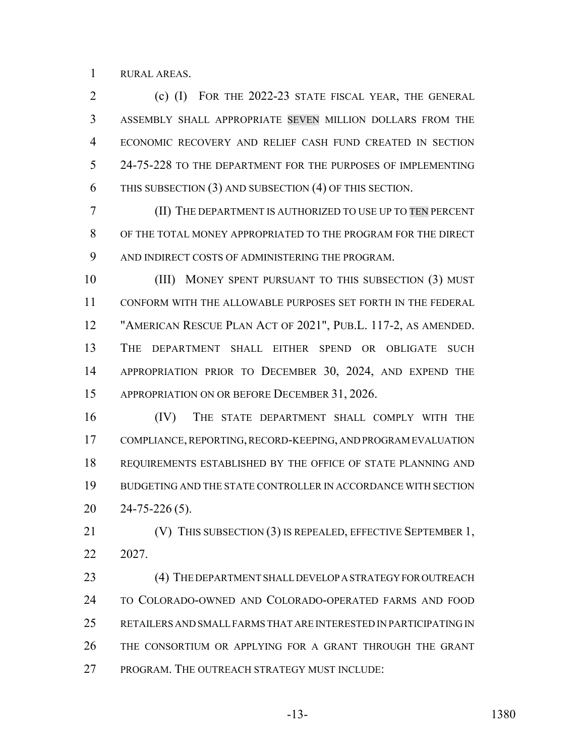RURAL AREAS.

 (c) (I) FOR THE 2022-23 STATE FISCAL YEAR, THE GENERAL ASSEMBLY SHALL APPROPRIATE SEVEN MILLION DOLLARS FROM THE ECONOMIC RECOVERY AND RELIEF CASH FUND CREATED IN SECTION 5 24-75-228 TO THE DEPARTMENT FOR THE PURPOSES OF IMPLEMENTING THIS SUBSECTION (3) AND SUBSECTION (4) OF THIS SECTION.

 (II) THE DEPARTMENT IS AUTHORIZED TO USE UP TO TEN PERCENT OF THE TOTAL MONEY APPROPRIATED TO THE PROGRAM FOR THE DIRECT AND INDIRECT COSTS OF ADMINISTERING THE PROGRAM.

10 (III) MONEY SPENT PURSUANT TO THIS SUBSECTION (3) MUST CONFORM WITH THE ALLOWABLE PURPOSES SET FORTH IN THE FEDERAL "AMERICAN RESCUE PLAN ACT OF 2021", PUB.L. 117-2, AS AMENDED. THE DEPARTMENT SHALL EITHER SPEND OR OBLIGATE SUCH APPROPRIATION PRIOR TO DECEMBER 30, 2024, AND EXPEND THE 15 APPROPRIATION ON OR BEFORE DECEMBER 31, 2026.

 (IV) THE STATE DEPARTMENT SHALL COMPLY WITH THE COMPLIANCE, REPORTING, RECORD-KEEPING, AND PROGRAM EVALUATION REQUIREMENTS ESTABLISHED BY THE OFFICE OF STATE PLANNING AND BUDGETING AND THE STATE CONTROLLER IN ACCORDANCE WITH SECTION 24-75-226 (5).

21 (V) THIS SUBSECTION (3) IS REPEALED, EFFECTIVE SEPTEMBER 1, 2027.

23 (4) THE DEPARTMENT SHALL DEVELOP A STRATEGY FOR OUTREACH TO COLORADO-OWNED AND COLORADO-OPERATED FARMS AND FOOD RETAILERS AND SMALL FARMS THAT ARE INTERESTED IN PARTICIPATING IN THE CONSORTIUM OR APPLYING FOR A GRANT THROUGH THE GRANT PROGRAM. THE OUTREACH STRATEGY MUST INCLUDE:

-13- 1380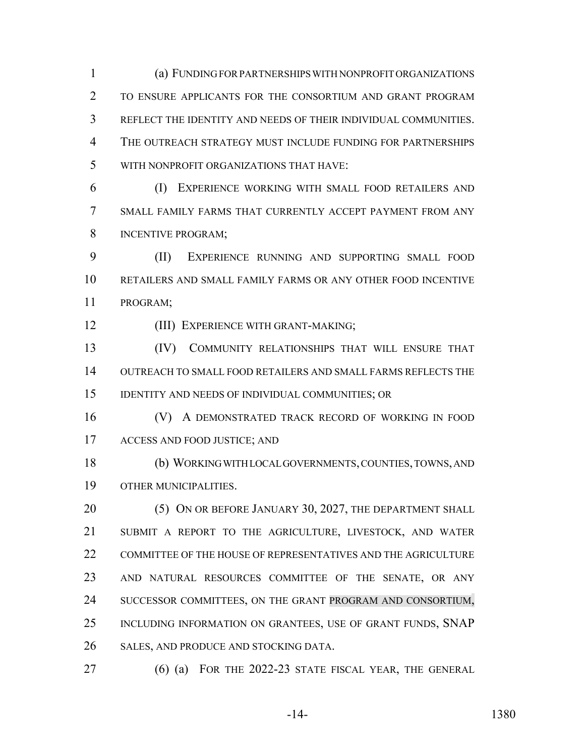(a) FUNDING FOR PARTNERSHIPS WITH NONPROFIT ORGANIZATIONS TO ENSURE APPLICANTS FOR THE CONSORTIUM AND GRANT PROGRAM REFLECT THE IDENTITY AND NEEDS OF THEIR INDIVIDUAL COMMUNITIES. THE OUTREACH STRATEGY MUST INCLUDE FUNDING FOR PARTNERSHIPS WITH NONPROFIT ORGANIZATIONS THAT HAVE:

 (I) EXPERIENCE WORKING WITH SMALL FOOD RETAILERS AND SMALL FAMILY FARMS THAT CURRENTLY ACCEPT PAYMENT FROM ANY INCENTIVE PROGRAM;

 (II) EXPERIENCE RUNNING AND SUPPORTING SMALL FOOD RETAILERS AND SMALL FAMILY FARMS OR ANY OTHER FOOD INCENTIVE PROGRAM;

(III) EXPERIENCE WITH GRANT-MAKING;

 (IV) COMMUNITY RELATIONSHIPS THAT WILL ENSURE THAT OUTREACH TO SMALL FOOD RETAILERS AND SMALL FARMS REFLECTS THE IDENTITY AND NEEDS OF INDIVIDUAL COMMUNITIES; OR

**(V)** A DEMONSTRATED TRACK RECORD OF WORKING IN FOOD ACCESS AND FOOD JUSTICE; AND

 (b) WORKING WITH LOCAL GOVERNMENTS, COUNTIES, TOWNS, AND OTHER MUNICIPALITIES.

20 (5) ON OR BEFORE JANUARY 30, 2027, THE DEPARTMENT SHALL SUBMIT A REPORT TO THE AGRICULTURE, LIVESTOCK, AND WATER 22 COMMITTEE OF THE HOUSE OF REPRESENTATIVES AND THE AGRICULTURE AND NATURAL RESOURCES COMMITTEE OF THE SENATE, OR ANY 24 SUCCESSOR COMMITTEES, ON THE GRANT PROGRAM AND CONSORTIUM, INCLUDING INFORMATION ON GRANTEES, USE OF GRANT FUNDS, SNAP SALES, AND PRODUCE AND STOCKING DATA.

(6) (a) FOR THE 2022-23 STATE FISCAL YEAR, THE GENERAL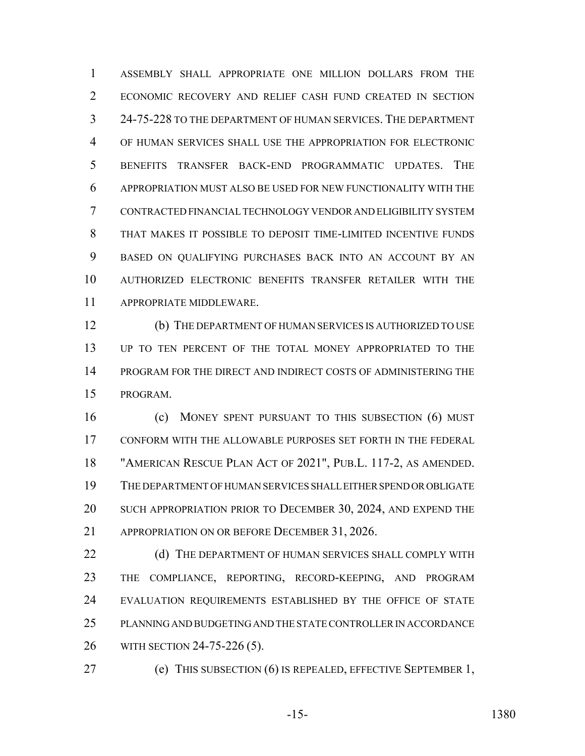ASSEMBLY SHALL APPROPRIATE ONE MILLION DOLLARS FROM THE ECONOMIC RECOVERY AND RELIEF CASH FUND CREATED IN SECTION 24-75-228 TO THE DEPARTMENT OF HUMAN SERVICES. THE DEPARTMENT OF HUMAN SERVICES SHALL USE THE APPROPRIATION FOR ELECTRONIC BENEFITS TRANSFER BACK-END PROGRAMMATIC UPDATES. THE APPROPRIATION MUST ALSO BE USED FOR NEW FUNCTIONALITY WITH THE CONTRACTED FINANCIAL TECHNOLOGY VENDOR AND ELIGIBILITY SYSTEM THAT MAKES IT POSSIBLE TO DEPOSIT TIME-LIMITED INCENTIVE FUNDS BASED ON QUALIFYING PURCHASES BACK INTO AN ACCOUNT BY AN AUTHORIZED ELECTRONIC BENEFITS TRANSFER RETAILER WITH THE APPROPRIATE MIDDLEWARE.

 (b) THE DEPARTMENT OF HUMAN SERVICES IS AUTHORIZED TO USE UP TO TEN PERCENT OF THE TOTAL MONEY APPROPRIATED TO THE PROGRAM FOR THE DIRECT AND INDIRECT COSTS OF ADMINISTERING THE PROGRAM.

 (c) MONEY SPENT PURSUANT TO THIS SUBSECTION (6) MUST CONFORM WITH THE ALLOWABLE PURPOSES SET FORTH IN THE FEDERAL "AMERICAN RESCUE PLAN ACT OF 2021", PUB.L. 117-2, AS AMENDED. THE DEPARTMENT OF HUMAN SERVICES SHALL EITHER SPEND OR OBLIGATE 20 SUCH APPROPRIATION PRIOR TO DECEMBER 30, 2024, AND EXPEND THE APPROPRIATION ON OR BEFORE DECEMBER 31, 2026.

22 (d) THE DEPARTMENT OF HUMAN SERVICES SHALL COMPLY WITH THE COMPLIANCE, REPORTING, RECORD-KEEPING, AND PROGRAM EVALUATION REQUIREMENTS ESTABLISHED BY THE OFFICE OF STATE PLANNING AND BUDGETING AND THE STATE CONTROLLER IN ACCORDANCE WITH SECTION 24-75-226 (5).

(e) THIS SUBSECTION (6) IS REPEALED, EFFECTIVE SEPTEMBER 1,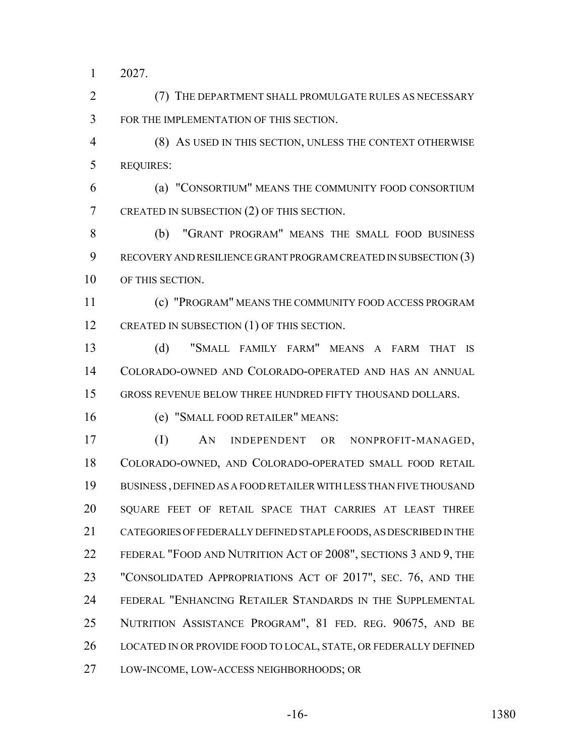2027.

 (7) THE DEPARTMENT SHALL PROMULGATE RULES AS NECESSARY FOR THE IMPLEMENTATION OF THIS SECTION.

 (8) AS USED IN THIS SECTION, UNLESS THE CONTEXT OTHERWISE REQUIRES:

 (a) "CONSORTIUM" MEANS THE COMMUNITY FOOD CONSORTIUM CREATED IN SUBSECTION (2) OF THIS SECTION.

 (b) "GRANT PROGRAM" MEANS THE SMALL FOOD BUSINESS RECOVERY AND RESILIENCE GRANT PROGRAM CREATED IN SUBSECTION (3) OF THIS SECTION.

 (c) "PROGRAM" MEANS THE COMMUNITY FOOD ACCESS PROGRAM 12 CREATED IN SUBSECTION (1) OF THIS SECTION.

 (d) "SMALL FAMILY FARM" MEANS A FARM THAT IS COLORADO-OWNED AND COLORADO-OPERATED AND HAS AN ANNUAL GROSS REVENUE BELOW THREE HUNDRED FIFTY THOUSAND DOLLARS.

(e) "SMALL FOOD RETAILER" MEANS:

 (I) AN INDEPENDENT OR NONPROFIT-MANAGED, COLORADO-OWNED, AND COLORADO-OPERATED SMALL FOOD RETAIL BUSINESS , DEFINED AS A FOOD RETAILER WITH LESS THAN FIVE THOUSAND SQUARE FEET OF RETAIL SPACE THAT CARRIES AT LEAST THREE CATEGORIES OF FEDERALLY DEFINED STAPLE FOODS, AS DESCRIBED IN THE 22 FEDERAL "FOOD AND NUTRITION ACT OF 2008", SECTIONS 3 AND 9, THE 23 "CONSOLIDATED APPROPRIATIONS ACT OF 2017", SEC. 76, AND THE FEDERAL "ENHANCING RETAILER STANDARDS IN THE SUPPLEMENTAL NUTRITION ASSISTANCE PROGRAM", 81 FED. REG. 90675, AND BE 26 LOCATED IN OR PROVIDE FOOD TO LOCAL, STATE, OR FEDERALLY DEFINED LOW-INCOME, LOW-ACCESS NEIGHBORHOODS; OR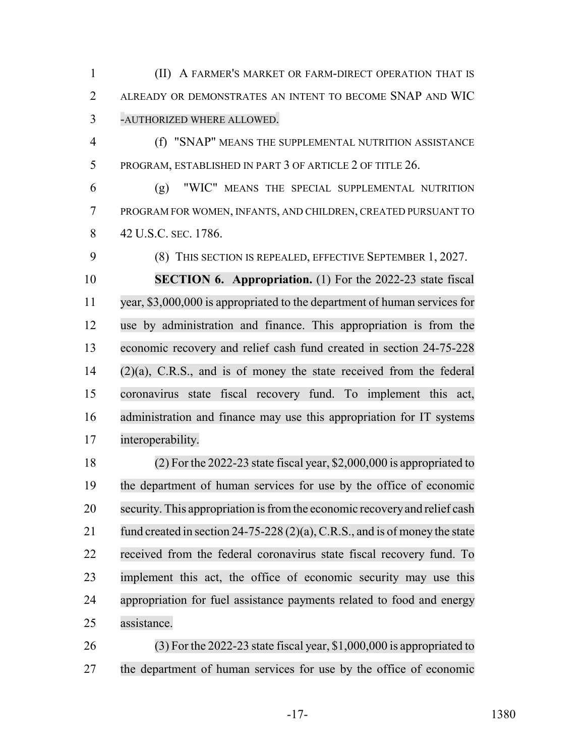(II) A FARMER'S MARKET OR FARM-DIRECT OPERATION THAT IS ALREADY OR DEMONSTRATES AN INTENT TO BECOME SNAP AND WIC -AUTHORIZED WHERE ALLOWED.

 (f) "SNAP" MEANS THE SUPPLEMENTAL NUTRITION ASSISTANCE PROGRAM, ESTABLISHED IN PART 3 OF ARTICLE 2 OF TITLE 26.

 (g) "WIC" MEANS THE SPECIAL SUPPLEMENTAL NUTRITION PROGRAM FOR WOMEN, INFANTS, AND CHILDREN, CREATED PURSUANT TO 8 42 U.S.C. SEC. 1786.

(8) THIS SECTION IS REPEALED, EFFECTIVE SEPTEMBER 1, 2027.

 **SECTION 6. Appropriation.** (1) For the 2022-23 state fiscal year, \$3,000,000 is appropriated to the department of human services for use by administration and finance. This appropriation is from the economic recovery and relief cash fund created in section 24-75-228 (2)(a), C.R.S., and is of money the state received from the federal coronavirus state fiscal recovery fund. To implement this act, administration and finance may use this appropriation for IT systems interoperability.

 (2) For the 2022-23 state fiscal year, \$2,000,000 is appropriated to the department of human services for use by the office of economic security. This appropriation isfromthe economic recoveryand relief cash 21 fund created in section 24-75-228 (2)(a), C.R.S., and is of money the state received from the federal coronavirus state fiscal recovery fund. To implement this act, the office of economic security may use this appropriation for fuel assistance payments related to food and energy assistance.

 (3) For the 2022-23 state fiscal year, \$1,000,000 is appropriated to the department of human services for use by the office of economic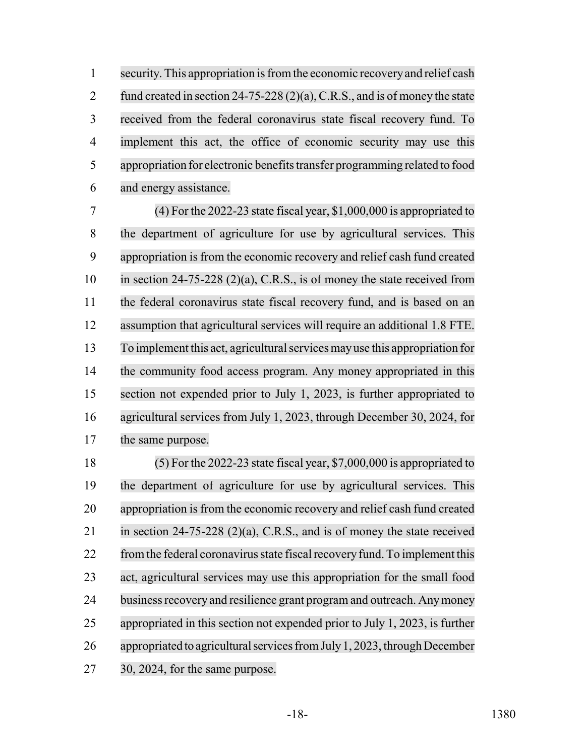1 security. This appropriation is from the economic recovery and relief cash 2 fund created in section 24-75-228 (2)(a), C.R.S., and is of money the state received from the federal coronavirus state fiscal recovery fund. To implement this act, the office of economic security may use this appropriation for electronic benefits transfer programming related to food and energy assistance.

 (4) For the 2022-23 state fiscal year, \$1,000,000 is appropriated to the department of agriculture for use by agricultural services. This appropriation isfrom the economic recovery and relief cash fund created in section 24-75-228 (2)(a), C.R.S., is of money the state received from the federal coronavirus state fiscal recovery fund, and is based on an assumption that agricultural services will require an additional 1.8 FTE. To implement this act, agriculturalservicesmayuse this appropriation for the community food access program. Any money appropriated in this section not expended prior to July 1, 2023, is further appropriated to agricultural services from July 1, 2023, through December 30, 2024, for the same purpose.

 (5) For the 2022-23 state fiscal year, \$7,000,000 is appropriated to the department of agriculture for use by agricultural services. This 20 appropriation is from the economic recovery and relief cash fund created in section 24-75-228 (2)(a), C.R.S., and is of money the state received 22 from the federal coronavirus state fiscal recovery fund. To implement this act, agricultural services may use this appropriation for the small food 24 business recovery and resilience grant program and outreach. Any money appropriated in this section not expended prior to July 1, 2023, is further appropriated to agricultural services from July 1, 2023, through December 30, 2024, for the same purpose.